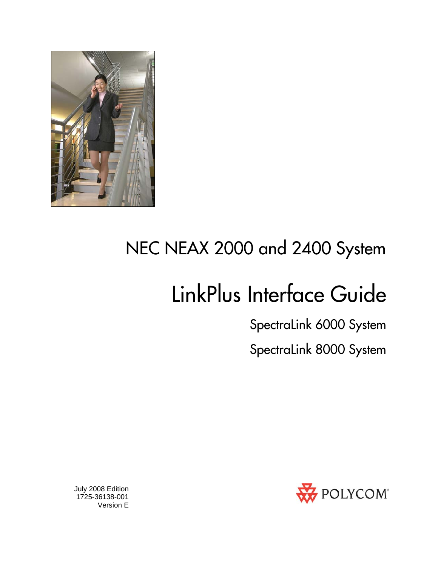

# NEC NEAX 2000 and 2400 System

# LinkPlus Interface Guide

SpectraLink 6000 System

SpectraLink 8000 System



 July 2008 Edition 1725-36138-001 Version E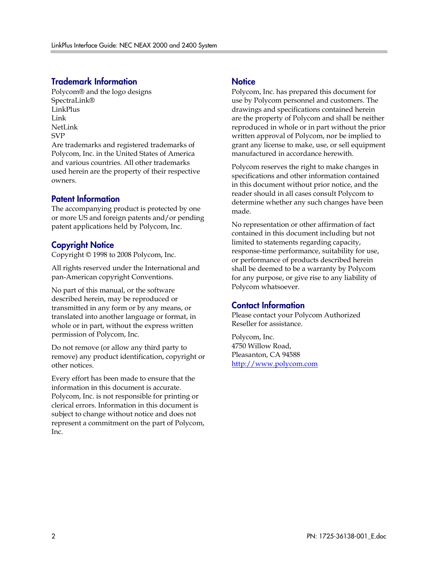#### Trademark Information

Polycom® and the logo designs SpectraLink® LinkPlus Link NetLink SVP

Are trademarks and registered trademarks of Polycom, Inc. in the United States of America and various countries. All other trademarks used herein are the property of their respective owners.

#### Patent Information

The accompanying product is protected by one or more US and foreign patents and/or pending patent applications held by Polycom, Inc.

#### Copyright Notice

Copyright © 1998 to 2008 Polycom, Inc.

All rights reserved under the International and pan-American copyright Conventions.

No part of this manual, or the software described herein, may be reproduced or transmitted in any form or by any means, or translated into another language or format, in whole or in part, without the express written permission of Polycom, Inc.

Do not remove (or allow any third party to remove) any product identification, copyright or other notices.

Every effort has been made to ensure that the information in this document is accurate. Polycom, Inc. is not responsible for printing or clerical errors. Information in this document is subject to change without notice and does not represent a commitment on the part of Polycom, Inc.

#### **Notice**

Polycom, Inc. has prepared this document for use by Polycom personnel and customers. The drawings and specifications contained herein are the property of Polycom and shall be neither reproduced in whole or in part without the prior written approval of Polycom, nor be implied to grant any license to make, use, or sell equipment manufactured in accordance herewith.

Polycom reserves the right to make changes in specifications and other information contained in this document without prior notice, and the reader should in all cases consult Polycom to determine whether any such changes have been made.

No representation or other affirmation of fact contained in this document including but not limited to statements regarding capacity, response-time performance, suitability for use, or performance of products described herein shall be deemed to be a warranty by Polycom for any purpose, or give rise to any liability of Polycom whatsoever.

#### Contact Information

Please contact your Polycom Authorized Reseller for assistance.

Polycom, Inc. 4750 Willow Road, Pleasanton, CA 94588 [http://www.polycom.com](http://www.polycom.com/)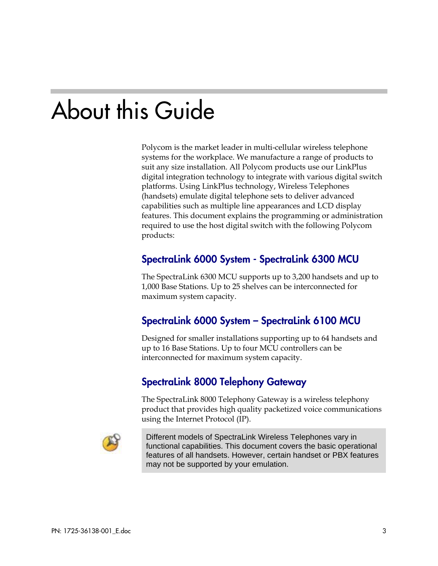# About this Guide

Polycom is the market leader in multi-cellular wireless telephone systems for the workplace. We manufacture a range of products to suit any size installation. All Polycom products use our LinkPlus digital integration technology to integrate with various digital switch platforms. Using LinkPlus technology, Wireless Telephones (handsets) emulate digital telephone sets to deliver advanced capabilities such as multiple line appearances and LCD display features. This document explains the programming or administration required to use the host digital switch with the following Polycom products:

### SpectraLink 6000 System - SpectraLink 6300 MCU

The SpectraLink 6300 MCU supports up to 3,200 handsets and up to 1,000 Base Stations. Up to 25 shelves can be interconnected for maximum system capacity.

### SpectraLink 6000 System – SpectraLink 6100 MCU

Designed for smaller installations supporting up to 64 handsets and up to 16 Base Stations. Up to four MCU controllers can be interconnected for maximum system capacity.

### SpectraLink 8000 Telephony Gateway

The SpectraLink 8000 Telephony Gateway is a wireless telephony product that provides high quality packetized voice communications using the Internet Protocol (IP).



Different models of SpectraLink Wireless Telephones vary in functional capabilities. This document covers the basic operational features of all handsets. However, certain handset or PBX features may not be supported by your emulation.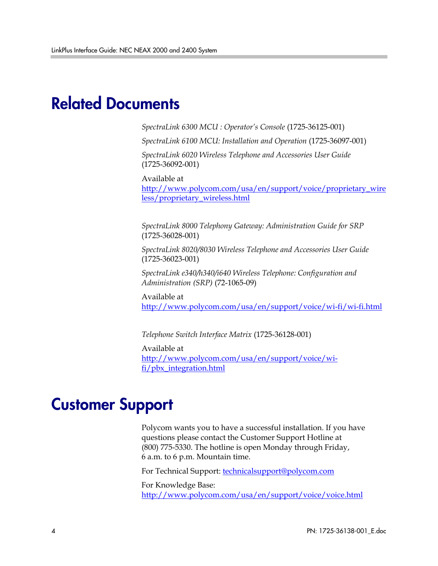## Related Documents

*SpectraLink 6300 MCU : Operator's Console* (1725-36125-001)

*SpectraLink 6100 MCU: Installation and Operation* (1725-36097-001)

*SpectraLink 6020 Wireless Telephone and Accessories User Guide*  (1725-36092-001)

Available at

[http://www.polycom.com/usa/en/support/voice/proprietary\\_wire](http://www.polycom.com/usa/en/support/voice/proprietary_wireless/proprietary_wireless.html) [less/proprietary\\_wireless.html](http://www.polycom.com/usa/en/support/voice/proprietary_wireless/proprietary_wireless.html)

*SpectraLink 8000 Telephony Gateway: Administration Guide for SRP*  (1725-36028-001)

*SpectraLink 8020/8030 Wireless Telephone and Accessories User Guide*  (1725-36023-001)

*SpectraLink e340/h340/i640 Wireless Telephone: Configuration and Administration (SRP)* (72-1065-09)

Available at <http://www.polycom.com/usa/en/support/voice/wi-fi/wi-fi.html>

*Telephone Switch Interface Matrix* (1725-36128-001)

Available at [http://www.polycom.com/usa/en/support/voice/wi](http://www.polycom.com/usa/en/support/voice/wi-fi/pbx_integration.html)[fi/pbx\\_integration.html](http://www.polycom.com/usa/en/support/voice/wi-fi/pbx_integration.html)

## Customer Support

Polycom wants you to have a successful installation. If you have questions please contact the Customer Support Hotline at (800) 775-5330. The hotline is open Monday through Friday, 6 a.m. to 6 p.m. Mountain time.

For Technical Support: [technicalsupport@polycom.com](mailto:technicalsupport@polycom.com)

For Knowledge Base: <http://www.polycom.com/usa/en/support/voice/voice.html>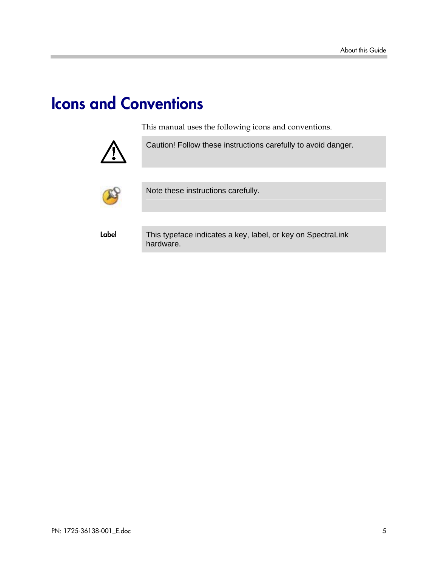# Icons and Conventions

This manual uses the following icons and conventions.



Caution! Follow these instructions carefully to avoid danger.



Note these instructions carefully.

Label This typeface indicates a key, label, or key on SpectraLink hardware.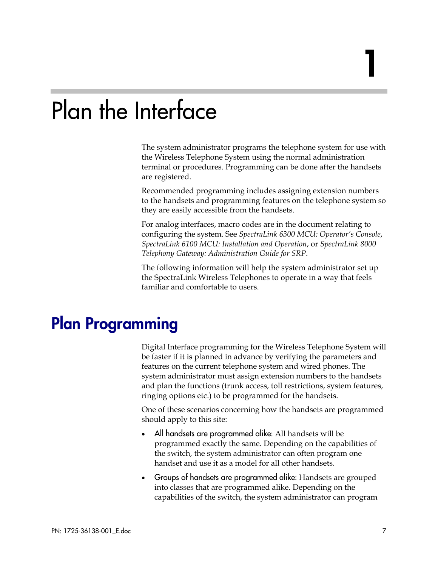# Plan the Interface

The system administrator programs the telephone system for use with the Wireless Telephone System using the normal administration terminal or procedures. Programming can be done after the handsets are registered.

Recommended programming includes assigning extension numbers to the handsets and programming features on the telephone system so they are easily accessible from the handsets.

For analog interfaces, macro codes are in the document relating to configuring the system. See *SpectraLink 6300 MCU: Operator's Console*, *SpectraLink 6100 MCU: Installation and Operation*, or *SpectraLink 8000 Telephony Gateway: Administration Guide for SRP*.

The following information will help the system administrator set up the SpectraLink Wireless Telephones to operate in a way that feels familiar and comfortable to users.

# Plan Programming

Digital Interface programming for the Wireless Telephone System will be faster if it is planned in advance by verifying the parameters and features on the current telephone system and wired phones. The system administrator must assign extension numbers to the handsets and plan the functions (trunk access, toll restrictions, system features, ringing options etc.) to be programmed for the handsets.

One of these scenarios concerning how the handsets are programmed should apply to this site:

- All handsets are programmed alike: All handsets will be programmed exactly the same. Depending on the capabilities of the switch, the system administrator can often program one handset and use it as a model for all other handsets.
- Groups of handsets are programmed alike: Handsets are grouped into classes that are programmed alike. Depending on the capabilities of the switch, the system administrator can program

1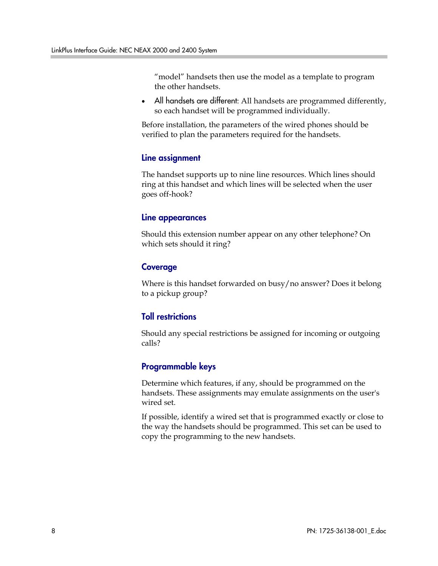"model" handsets then use the model as a template to program the other handsets.

• All handsets are different: All handsets are programmed differently, so each handset will be programmed individually.

Before installation, the parameters of the wired phones should be verified to plan the parameters required for the handsets.

#### Line assignment

The handset supports up to nine line resources. Which lines should ring at this handset and which lines will be selected when the user goes off-hook?

#### Line appearances

Should this extension number appear on any other telephone? On which sets should it ring?

#### Coverage

Where is this handset forwarded on busy/no answer? Does it belong to a pickup group?

#### Toll restrictions

Should any special restrictions be assigned for incoming or outgoing calls?

### Programmable keys

Determine which features, if any, should be programmed on the handsets. These assignments may emulate assignments on the user's wired set.

If possible, identify a wired set that is programmed exactly or close to the way the handsets should be programmed. This set can be used to copy the programming to the new handsets.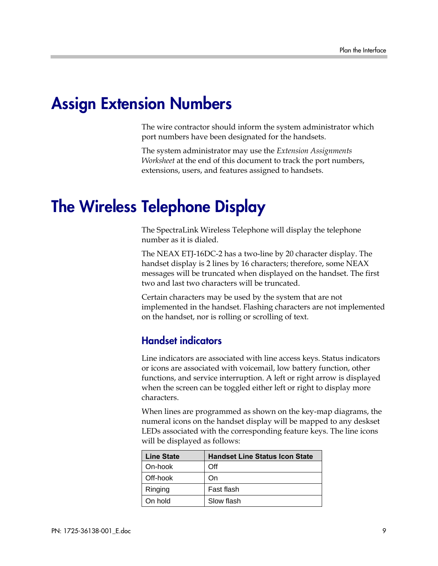## Assign Extension Numbers

The wire contractor should inform the system administrator which port numbers have been designated for the handsets.

The system administrator may use the *Extension Assignments Worksheet* at the end of this document to track the port numbers, extensions, users, and features assigned to handsets.

## The Wireless Telephone Display

The SpectraLink Wireless Telephone will display the telephone number as it is dialed.

The NEAX ETJ-16DC-2 has a two-line by 20 character display. The handset display is 2 lines by 16 characters; therefore, some NEAX messages will be truncated when displayed on the handset. The first two and last two characters will be truncated.

Certain characters may be used by the system that are not implemented in the handset. Flashing characters are not implemented on the handset, nor is rolling or scrolling of text.

### Handset indicators

Line indicators are associated with line access keys. Status indicators or icons are associated with voicemail, low battery function, other functions, and service interruption. A left or right arrow is displayed when the screen can be toggled either left or right to display more characters.

When lines are programmed as shown on the key-map diagrams, the numeral icons on the handset display will be mapped to any deskset LEDs associated with the corresponding feature keys. The line icons will be displayed as follows:

| <b>Line State</b> | <b>Handset Line Status Icon State</b> |
|-------------------|---------------------------------------|
| On-hook           | Off                                   |
| Off-hook          | On)                                   |
| Ringing           | Fast flash                            |
| On hold           | Slow flash                            |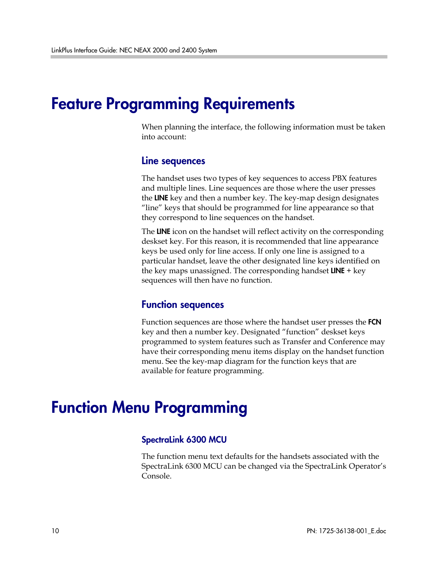### Feature Programming Requirements

When planning the interface, the following information must be taken into account:

#### Line sequences

The handset uses two types of key sequences to access PBX features and multiple lines. Line sequences are those where the user presses the LINE key and then a number key. The key-map design designates "line" keys that should be programmed for line appearance so that they correspond to line sequences on the handset.

The LINE icon on the handset will reflect activity on the corresponding deskset key. For this reason, it is recommended that line appearance keys be used only for line access. If only one line is assigned to a particular handset, leave the other designated line keys identified on the key maps unassigned. The corresponding handset **LINE**  $+$  key sequences will then have no function.

#### Function sequences

Function sequences are those where the handset user presses the FCN key and then a number key. Designated "function" deskset keys programmed to system features such as Transfer and Conference may have their corresponding menu items display on the handset function menu. See the key-map diagram for the function keys that are available for feature programming.

## Function Menu Programming

#### SpectraLink 6300 MCU

The function menu text defaults for the handsets associated with the SpectraLink 6300 MCU can be changed via the SpectraLink Operator's Console.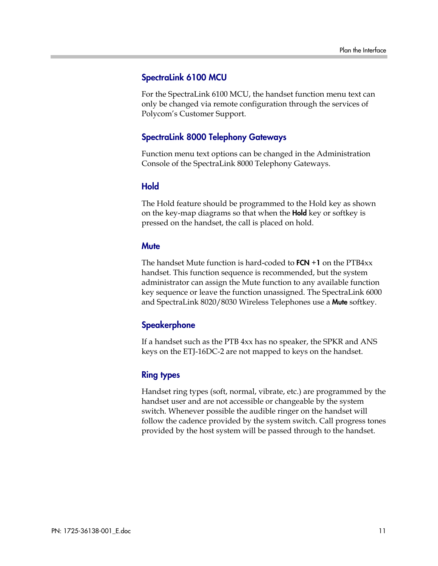#### SpectraLink 6100 MCU

For the SpectraLink 6100 MCU, the handset function menu text can only be changed via remote configuration through the services of Polycom's Customer Support.

#### SpectraLink 8000 Telephony Gateways

Function menu text options can be changed in the Administration Console of the SpectraLink 8000 Telephony Gateways.

#### **Hold**

The Hold feature should be programmed to the Hold key as shown on the key-map diagrams so that when the **Hold** key or softkey is pressed on the handset, the call is placed on hold.

#### **Mute**

The handset Mute function is hard-coded to  $FCN + 1$  on the PTB4 $xx$ handset. This function sequence is recommended, but the system administrator can assign the Mute function to any available function key sequence or leave the function unassigned. The SpectraLink 6000 and SpectraLink 8020/8030 Wireless Telephones use a Mute softkey.

#### **Speakerphone**

If a handset such as the PTB 4xx has no speaker, the SPKR and ANS keys on the ETJ-16DC-2 are not mapped to keys on the handset.

#### Ring types

Handset ring types (soft, normal, vibrate, etc.) are programmed by the handset user and are not accessible or changeable by the system switch. Whenever possible the audible ringer on the handset will follow the cadence provided by the system switch. Call progress tones provided by the host system will be passed through to the handset.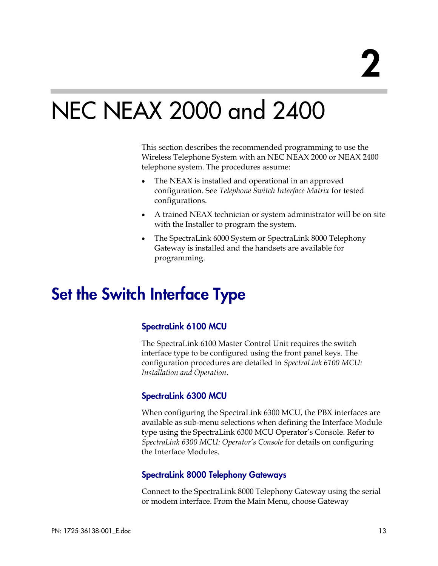# NEC NEAX 2000 and 2400

This section describes the recommended programming to use the Wireless Telephone System with an NEC NEAX 2000 or NEAX 2400 telephone system. The procedures assume:

- The NEAX is installed and operational in an approved configuration. See *Telephone Switch Interface Matrix* for tested configurations.
- A trained NEAX technician or system administrator will be on site with the Installer to program the system.
- The SpectraLink 6000 System or SpectraLink 8000 Telephony Gateway is installed and the handsets are available for programming.

# Set the Switch Interface Type

### SpectraLink 6100 MCU

The SpectraLink 6100 Master Control Unit requires the switch interface type to be configured using the front panel keys. The configuration procedures are detailed in *SpectraLink 6100 MCU: Installation and Operation*.

#### SpectraLink 6300 MCU

When configuring the SpectraLink 6300 MCU, the PBX interfaces are available as sub-menu selections when defining the Interface Module type using the SpectraLink 6300 MCU Operator's Console. Refer to *SpectraLink 6300 MCU: Operator's Console* for details on configuring the Interface Modules.

#### SpectraLink 8000 Telephony Gateways

Connect to the SpectraLink 8000 Telephony Gateway using the serial or modem interface. From the Main Menu, choose Gateway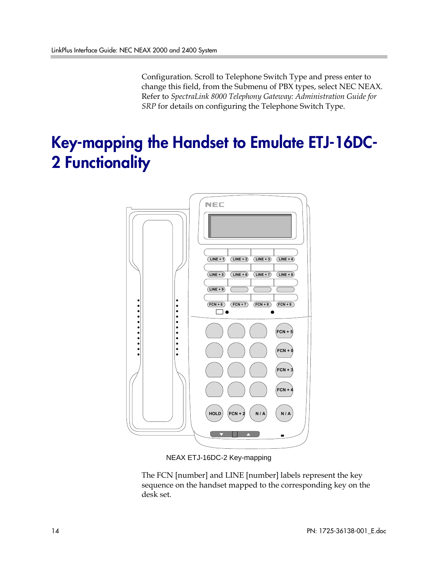Configuration. Scroll to Telephone Switch Type and press enter to change this field, from the Submenu of PBX types, select NEC NEAX. Refer to *SpectraLink 8000 Telephony Gateway: Administration Guide for SRP* for details on configuring the Telephone Switch Type.

# Key-mapping the Handset to Emulate ETJ-16DC-2 Functionality



NEAX ETJ-16DC-2 Key-mapping

The FCN [number] and LINE [number] labels represent the key sequence on the handset mapped to the corresponding key on the desk set.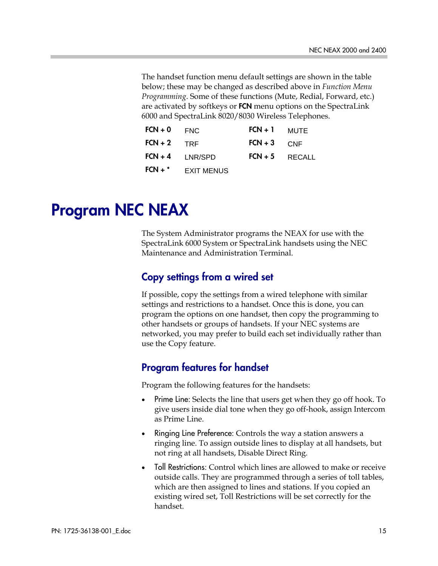The handset function menu default settings are shown in the table below; these may be changed as described above in *Function Menu Programming*. Some of these functions (Mute, Redial, Forward, etc.) are activated by softkeys or FCN menu options on the SpectraLink 6000 and SpectraLink 8020/8030 Wireless Telephones.

| $FCN + 0$     | <b>FNC</b>          | $FCN + 1$     | MUTE             |
|---------------|---------------------|---------------|------------------|
| $FCN + 2$ TRF |                     | $FCN + 3$ CNF |                  |
|               | $FCN + 4$ $LNR/SPD$ |               | $FCN + 5$ RECALL |
| $FCN +$       | <b>EXIT MENUS</b>   |               |                  |

# Program NEC NEAX

The System Administrator programs the NEAX for use with the SpectraLink 6000 System or SpectraLink handsets using the NEC Maintenance and Administration Terminal.

### Copy settings from a wired set

If possible, copy the settings from a wired telephone with similar settings and restrictions to a handset. Once this is done, you can program the options on one handset, then copy the programming to other handsets or groups of handsets. If your NEC systems are networked, you may prefer to build each set individually rather than use the Copy feature.

### Program features for handset

Program the following features for the handsets:

- Prime Line: Selects the line that users get when they go off hook. To give users inside dial tone when they go off-hook, assign Intercom as Prime Line.
- Ringing Line Preference: Controls the way a station answers a ringing line. To assign outside lines to display at all handsets, but not ring at all handsets, Disable Direct Ring.
- Toll Restrictions: Control which lines are allowed to make or receive outside calls. They are programmed through a series of toll tables, which are then assigned to lines and stations. If you copied an existing wired set, Toll Restrictions will be set correctly for the handset.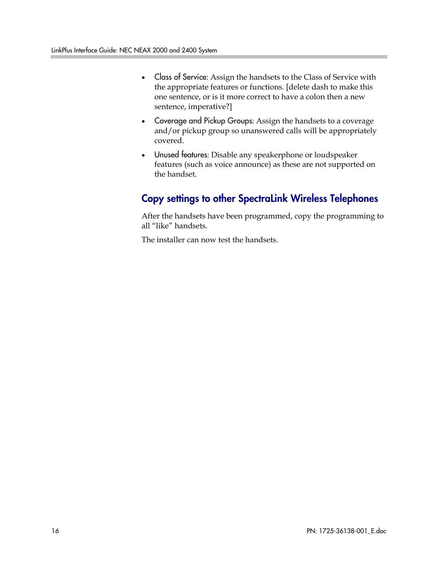- Class of Service: Assign the handsets to the Class of Service with the appropriate features or functions. [delete dash to make this one sentence, or is it more correct to have a colon then a new sentence, imperative?]
- Coverage and Pickup Groups: Assign the handsets to a coverage and/or pickup group so unanswered calls will be appropriately covered.
- Unused features: Disable any speakerphone or loudspeaker features (such as voice announce) as these are not supported on the handset.

### Copy settings to other SpectraLink Wireless Telephones

After the handsets have been programmed, copy the programming to all "like" handsets.

The installer can now test the handsets.